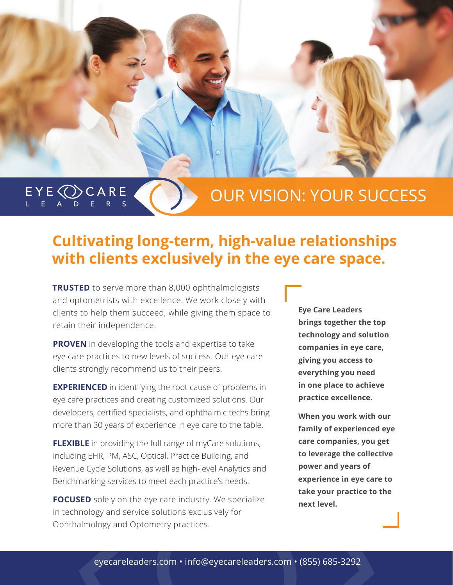$E Y E \bigcirc C$   $C A R E$ 

## OUR VISION: YOUR SUCCESS

## **Cultivating long-term, high-value relationships with clients exclusively in the eye care space.**

**TRUSTED** to serve more than 8,000 ophthalmologists and optometrists with excellence. We work closely with clients to help them succeed, while giving them space to retain their independence.

**PROVEN** in developing the tools and expertise to take eye care practices to new levels of success. Our eye care clients strongly recommend us to their peers.

**EXPERIENCED** in identifying the root cause of problems in eye care practices and creating customized solutions. Our developers, certified specialists, and ophthalmic techs bring more than 30 years of experience in eye care to the table.

**FLEXIBLE** in providing the full range of myCare solutions, including EHR, PM, ASC, Optical, Practice Building, and Revenue Cycle Solutions, as well as high-level Analytics and Benchmarking services to meet each practice's needs.

**FOCUSED** solely on the eye care industry. We specialize in technology and service solutions exclusively for Ophthalmology and Optometry practices.

**Eye Care Leaders brings together the top technology and solution companies in eye care, giving you access to everything you need in one place to achieve practice excellence.**

**When you work with our family of experienced eye care companies, you get to leverage the collective power and years of experience in eye care to take your practice to the next level.**